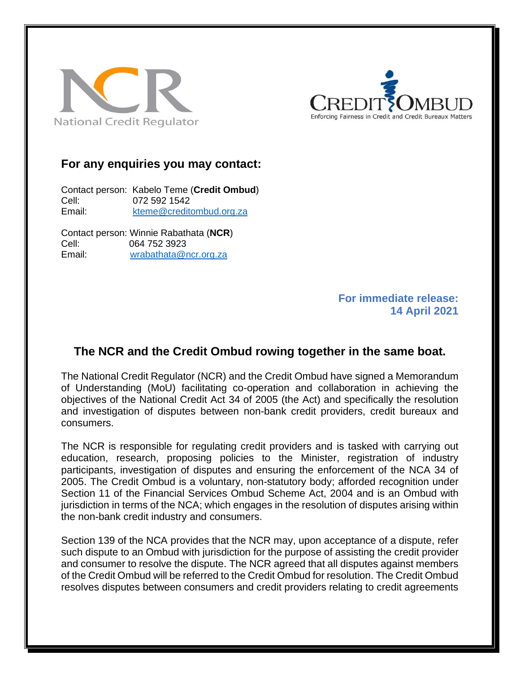



## **For any enquiries you may contact:**

Contact person: Kabelo Teme (**Credit Ombud**) Cell: 072 592 1542 Email: [kteme@creditombud.org.za](mailto:kteme@creditombud.org.za)

Contact person: Winnie Rabathata (**NCR**) Cell: 064 752 3923 Email: [wrabathata@ncr.org.za](mailto:wrabathata@ncr.org.za)

> **For immediate release: 14 April 2021**

## **The NCR and the Credit Ombud rowing together in the same boat.**

The National Credit Regulator (NCR) and the Credit Ombud have signed a Memorandum of Understanding (MoU) facilitating co-operation and collaboration in achieving the objectives of the National Credit Act 34 of 2005 (the Act) and specifically the resolution and investigation of disputes between non-bank credit providers, credit bureaux and consumers.

The NCR is responsible for regulating credit providers and is tasked with carrying out education, research, proposing policies to the Minister, registration of industry participants, investigation of disputes and ensuring the enforcement of the NCA 34 of 2005. The Credit Ombud is a voluntary, non-statutory body; afforded recognition under Section 11 of the Financial Services Ombud Scheme Act, 2004 and is an Ombud with jurisdiction in terms of the NCA; which engages in the resolution of disputes arising within the non-bank credit industry and consumers.

Section 139 of the NCA provides that the NCR may, upon acceptance of a dispute, refer such dispute to an Ombud with jurisdiction for the purpose of assisting the credit provider and consumer to resolve the dispute. The NCR agreed that all disputes against members of the Credit Ombud will be referred to the Credit Ombud for resolution. The Credit Ombud resolves disputes between consumers and credit providers relating to credit agreements